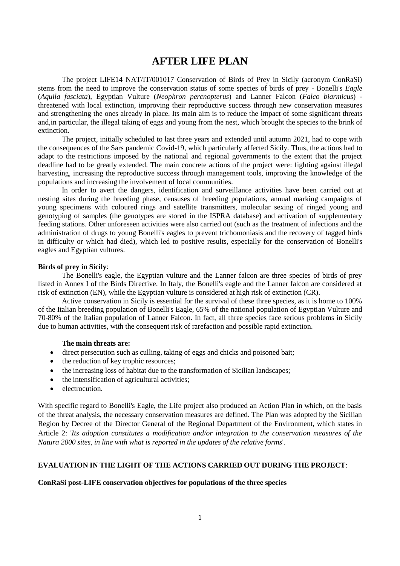# **AFTER LIFE PLAN**

The project LIFE14 NAT/IT/001017 Conservation of Birds of Prey in Sicily (acronym ConRaSi) stems from the need to improve the conservation status of some species of birds of prey - Bonelli's *Eagle* (*Aquila fasciata*), Egyptian Vulture (*Neophron percnopterus*) and Lanner Falcon (*Falco biarmicus*) threatened with local extinction, improving their reproductive success through new conservation measures and strengthening the ones already in place. Its main aim is to reduce the impact of some significant threats and,in particular, the illegal taking of eggs and young from the nest, which brought the species to the brink of extinction.

The project, initially scheduled to last three years and extended until autumn 2021, had to cope with the consequences of the Sars pandemic Covid-19, which particularly affected Sicily. Thus, the actions had to adapt to the restrictions imposed by the national and regional governments to the extent that the project deadline had to be greatly extended. The main concrete actions of the project were: fighting against illegal harvesting, increasing the reproductive success through management tools, improving the knowledge of the populations and increasing the involvement of local communities.

In order to avert the dangers, identification and surveillance activities have been carried out at nesting sites during the breeding phase, censuses of breeding populations, annual marking campaigns of young specimens with coloured rings and satellite transmitters, molecular sexing of ringed young and genotyping of samples (the genotypes are stored in the ISPRA database) and activation of supplementary feeding stations. Other unforeseen activities were also carried out (such as the treatment of infections and the administration of drugs to young Bonelli's eagles to prevent trichomoniasis and the recovery of tagged birds in difficulty or which had died), which led to positive results, especially for the conservation of Bonelli's eagles and Egyptian vultures.

#### **Birds of prey in Sicily**:

The Bonelli's eagle, the Egyptian vulture and the Lanner falcon are three species of birds of prey listed in Annex I of the Birds Directive. In Italy, the Bonelli's eagle and the Lanner falcon are considered at risk of extinction (EN), while the Egyptian vulture is considered at high risk of extinction (CR).

Active conservation in Sicily is essential for the survival of these three species, as it is home to 100% of the Italian breeding population of Bonelli's Eagle, 65% of the national population of Egyptian Vulture and 70-80% of the Italian population of Lanner Falcon. In fact, all three species face serious problems in Sicily due to human activities, with the consequent risk of rarefaction and possible rapid extinction.

#### **The main threats are:**

- direct persecution such as culling, taking of eggs and chicks and poisoned bait;
- the reduction of key trophic resources;
- the increasing loss of habitat due to the transformation of Sicilian landscapes;
- the intensification of agricultural activities;
- electrocution.

With specific regard to Bonelli's Eagle, the Life project also produced an Action Plan in which, on the basis of the threat analysis, the necessary conservation measures are defined. The Plan was adopted by the Sicilian Region by Decree of the Director General of the Regional Department of the Environment, which states in Article 2: '*Its adoption constitutes a modification and/or integration to the conservation measures of the Natura 2000 sites, in line with what is reported in the updates of the relative forms*'.

## **EVALUATION IN THE LIGHT OF THE ACTIONS CARRIED OUT DURING THE PROJECT**:

#### **ConRaSi post-LIFE conservation objectives for populations of the three species**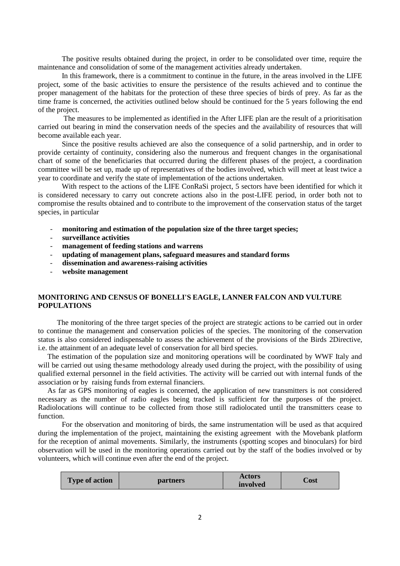The positive results obtained during the project, in order to be consolidated over time, require the maintenance and consolidation of some of the management activities already undertaken.

In this framework, there is a commitment to continue in the future, in the areas involved in the LIFE project, some of the basic activities to ensure the persistence of the results achieved and to continue the proper management of the habitats for the protection of these three species of birds of prey. As far as the time frame is concerned, the activities outlined below should be continued for the 5 years following the end of the project.

The measures to be implemented as identified in the After LIFE plan are the result of a prioritisation carried out bearing in mind the conservation needs of the species and the availability of resources that will become available each year.

Since the positive results achieved are also the consequence of a solid partnership, and in order to provide certainty of continuity, considering also the numerous and frequent changes in the organisational chart of some of the beneficiaries that occurred during the different phases of the project, a coordination committee will be set up, made up of representatives of the bodies involved, which will meet at least twice a year to coordinate and verify the state of implementation of the actions undertaken.

With respect to the actions of the LIFE ConRaSi project, 5 sectors have been identified for which it is considered necessary to carry out concrete actions also in the post-LIFE period, in order both not to compromise the results obtained and to contribute to the improvement of the conservation status of the target species, in particular

- **monitoring and estimation of the population size of the three target species;**
- **surveillance activities**
- **management of feeding stations and warrens**
- **updating of management plans, safeguard measures and standard forms**
- **dissemination and awareness-raising activities**
- **website management**

# **MONITORING AND CENSUS OF BONELLI'S EAGLE, LANNER FALCON AND VULTURE POPULATIONS**

The monitoring of the three target species of the project are strategic actions to be carried out in order to continue the management and conservation policies of the species. The monitoring of the conservation status is also considered indispensable to assess the achievement of the provisions of the Birds 2Directive, i.e. the attainment of an adequate level of conservation for all bird species.

The estimation of the population size and monitoring operations will be coordinated by WWF Italy and will be carried out using the same methodology already used during the project, with the possibility of using qualified external personnel in the field activities. The activity will be carried out with internal funds of the association or by raising funds from external financiers.

As far as GPS monitoring of eagles is concerned, the application of new transmitters is not considered necessary as the number of radio eagles being tracked is sufficient for the purposes of the project. Radiolocations will continue to be collected from those still radiolocated until the transmitters cease to function.

For the observation and monitoring of birds, the same instrumentation will be used as that acquired during the implementation of the project, maintaining the existing agreement with the Movebank platform for the reception of animal movements. Similarly, the instruments (spotting scopes and binoculars) for bird observation will be used in the monitoring operations carried out by the staff of the bodies involved or by volunteers, which will continue even after the end of the project.

| <b>Type of action</b> | partners | Actors<br><i>involved</i> | ∠ost |
|-----------------------|----------|---------------------------|------|
|-----------------------|----------|---------------------------|------|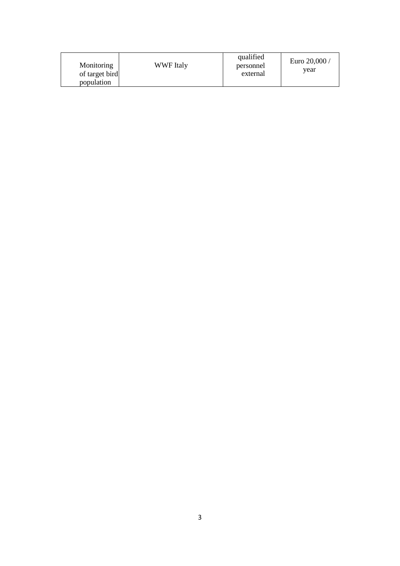| Monitoring<br>of target bird<br>population | WWF Italy | qualified<br>personnel<br>external | Euro 20,000 /<br>vear |
|--------------------------------------------|-----------|------------------------------------|-----------------------|
|--------------------------------------------|-----------|------------------------------------|-----------------------|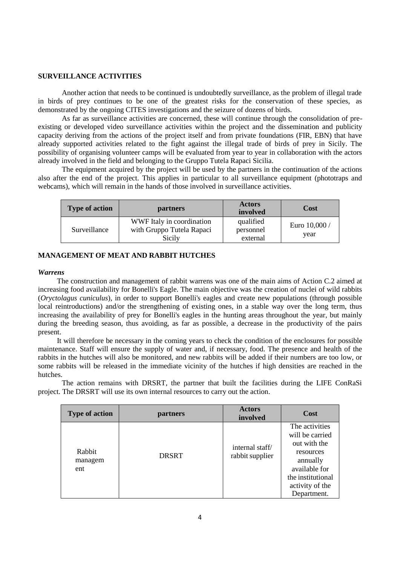### **SURVEILLANCE ACTIVITIES**

Another action that needs to be continued is undoubtedly surveillance, as the problem of illegal trade in birds of prey continues to be one of the greatest risks for the conservation of these species, as demonstrated by the ongoing CITES investigations and the seizure of dozens of birds.

As far as surveillance activities are concerned, these will continue through the consolidation of preexisting or developed video surveillance activities within the project and the dissemination and publicity capacity deriving from the actions of the project itself and from private foundations (FIR, EBN) that have already supported activities related to the fight against the illegal trade of birds of prey in Sicily. The possibility of organising volunteer camps will be evaluated from year to year in collaboration with the actors already involved in the field and belonging to the Gruppo Tutela Rapaci Sicilia.

The equipment acquired by the project will be used by the partners in the continuation of the actions also after the end of the project. This applies in particular to all surveillance equipment (phototraps and webcams), which will remain in the hands of those involved in surveillance activities.

| <b>Type of action</b> | <b>partners</b>                                                  | <b>Actors</b><br>involved          | Cost                  |
|-----------------------|------------------------------------------------------------------|------------------------------------|-----------------------|
| Surveillance          | WWF Italy in coordination<br>with Gruppo Tutela Rapaci<br>Sicily | qualified<br>personnel<br>external | Euro 10,000 /<br>vear |

# **MANAGEMENT OF MEAT AND RABBIT HUTCHES**

#### *Warrens*

The construction and management of rabbit warrens was one of the main aims of Action C.2 aimed at increasing food availability for Bonelli's Eagle. The main objective was the creation of nuclei of wild rabbits (*Oryctolagus cuniculus*), in order to support Bonelli's eagles and create new populations (through possible local reintroductions) and/or the strengthening of existing ones, in a stable way over the long term, thus increasing the availability of prey for Bonelli's eagles in the hunting areas throughout the year, but mainly during the breeding season, thus avoiding, as far as possible, a decrease in the productivity of the pairs present.

It will therefore be necessary in the coming years to check the condition of the enclosures for possible maintenance. Staff will ensure the supply of water and, if necessary, food. The presence and health of the rabbits in the hutches will also be monitored, and new rabbits will be added if their numbers are too low, or some rabbits will be released in the immediate vicinity of the hutches if high densities are reached in the hutches.

The action remains with DRSRT, the partner that built the facilities during the LIFE ConRaSi project. The DRSRT will use its own internal resources to carry out the action.

| <b>Type of action</b>    | <b>partners</b> | <b>Actors</b><br>involved          | Cost                                                                                                                                               |
|--------------------------|-----------------|------------------------------------|----------------------------------------------------------------------------------------------------------------------------------------------------|
| Rabbit<br>managem<br>ent | <b>DRSRT</b>    | internal staff/<br>rabbit supplier | The activities<br>will be carried<br>out with the<br>resources<br>annually<br>available for<br>the institutional<br>activity of the<br>Department. |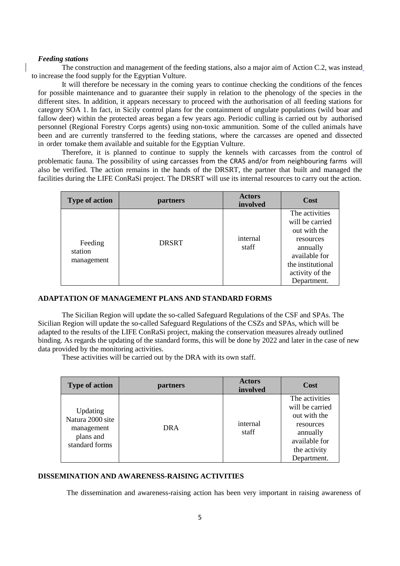#### *Feeding stations*

The construction and management of the feeding stations, also a major aim of Action C.2, was instead to increase the food supply for the Egyptian Vulture.

It will therefore be necessary in the coming years to continue checking the conditions of the fences for possible maintenance and to guarantee their supply in relation to the phenology of the species in the different sites. In addition, it appears necessary to proceed with the authorisation of all feeding stations for category SOA 1. In fact, in Sicily control plans for the containment of ungulate populations (wild boar and fallow deer) within the protected areas began a few years ago. Periodic culling is carried out by authorised personnel (Regional Forestry Corps agents) using non-toxic ammunition. Some of the culled animals have been and are currently transferred to the feeding stations, where the carcasses are opened and dissected in order tomake them available and suitable for the Egyptian Vulture.

Therefore, it is planned to continue to supply the kennels with carcasses from the control of problematic fauna. The possibility of using carcasses from the CRAS and/or from neighbouring farms will also be verified. The action remains in the hands of the DRSRT, the partner that built and managed the facilities during the LIFE ConRaSi project. The DRSRT will use its internal resources to carry out the action.

| <b>Type of action</b>            | <b>partners</b> | <b>Actors</b><br>involved | Cost                                                                                                                                               |
|----------------------------------|-----------------|---------------------------|----------------------------------------------------------------------------------------------------------------------------------------------------|
| Feeding<br>station<br>management | <b>DRSRT</b>    | internal<br>staff         | The activities<br>will be carried<br>out with the<br>resources<br>annually<br>available for<br>the institutional<br>activity of the<br>Department. |

# **ADAPTATION OF MANAGEMENT PLANS AND STANDARD FORMS**

The Sicilian Region will update the so-called Safeguard Regulations of the CSF and SPAs. The Sicilian Region will update the so-called Safeguard Regulations of the CSZs and SPAs, which will be adapted to the results of the LIFE ConRaSi project, making the conservation measures already outlined binding. As regards the updating of the standard forms, this will be done by 2022 and later in the case of new data provided by the monitoring activities.

These activities will be carried out by the DRA with its own staff.

| <b>Type of action</b>                                                     | <i>partners</i> | <b>Actors</b><br>involved |                                                                                                                            |
|---------------------------------------------------------------------------|-----------------|---------------------------|----------------------------------------------------------------------------------------------------------------------------|
| Updating<br>Natura 2000 site<br>management<br>plans and<br>standard forms | DRA             | internal<br>staff         | The activities<br>will be carried<br>out with the<br>resources<br>annually<br>available for<br>the activity<br>Department. |

# **DISSEMINATION AND AWARENESS-RAISING ACTIVITIES**

The dissemination and awareness-raising action has been very important in raising awareness of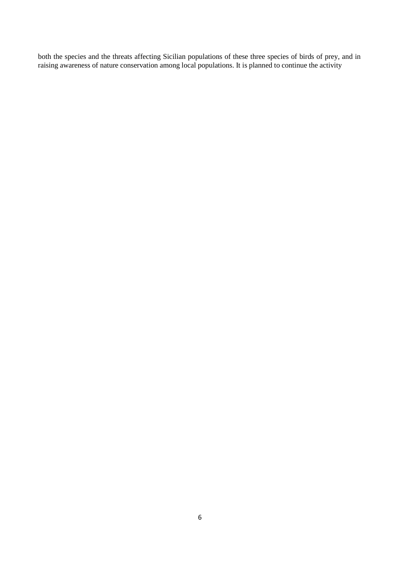both the species and the threats affecting Sicilian populations of these three species of birds of prey, and in raising awareness of nature conservation among local populations. It is planned to continue the activity